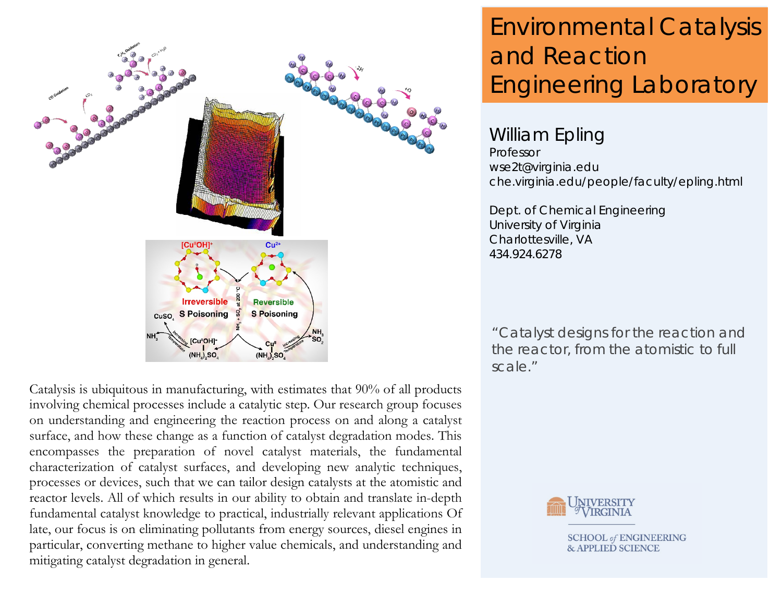

Catalysis is ubiquitous in manufacturing, with estimates that 90% of all products involving chemical processes include a catalytic step. Our research group focuses on understanding and engineering the reaction process on and along a catalyst surface, and how these change as a function of catalyst degradation modes. This encompasses the preparation of novel catalyst materials, the fundamental characterization of catalyst surfaces, and developing new analytic techniques, processes or devices, such that we can tailor design catalysts at the atomistic and reactor levels. All of which results in our ability to obtain and translate in-depth fundamental catalyst knowledge to practical, industrially relevant applications Of late, our focus is on eliminating pollutants from energy sources, diesel engines in particular, converting methane to higher value chemicals, and understanding and mitigating catalyst degradation in general.

# Environmental Catalysis and Reaction Engineering Laboratory

## William Epling

Professor wse2t@virginia.edu che.virginia.edu/people/faculty/epling.html

Dept. of Chemical Engineering University of Virginia Charlottesville, VA 434.924.6278

"Catalyst designs for the reaction and the reactor, from the atomistic to full scale."



**SCHOOL** of **ENGINEERING & APPLIED SCIENCE**